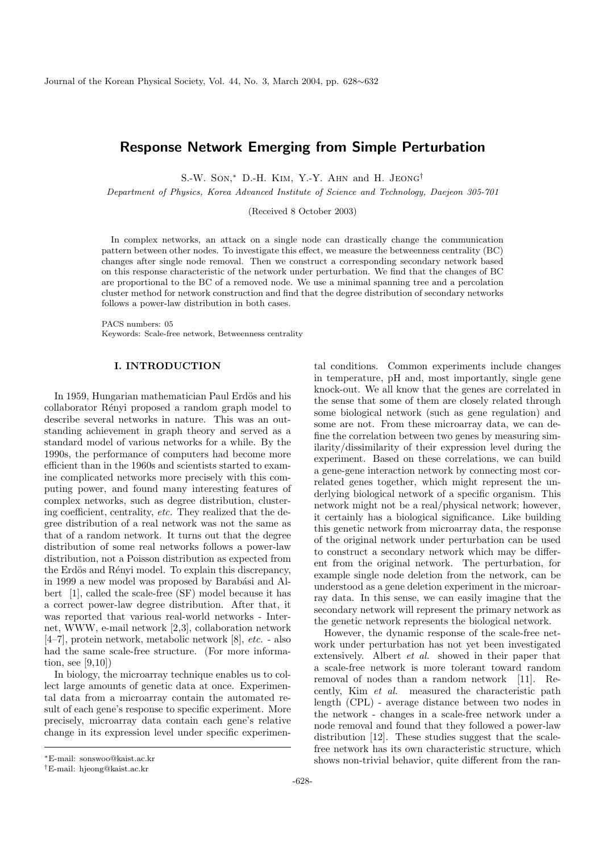# Response Network Emerging from Simple Perturbation

S.-W. Son, <sup>∗</sup> D.-H. Kim, Y.-Y. Ahn and H. Jeong†

Department of Physics, Korea Advanced Institute of Science and Technology, Daejeon 305-701

(Received 8 October 2003)

In complex networks, an attack on a single node can drastically change the communication pattern between other nodes. To investigate this effect, we measure the betweenness centrality (BC) changes after single node removal. Then we construct a corresponding secondary network based on this response characteristic of the network under perturbation. We find that the changes of BC are proportional to the BC of a removed node. We use a minimal spanning tree and a percolation cluster method for network construction and find that the degree distribution of secondary networks follows a power-law distribution in both cases.

PACS numbers: 05 Keywords: Scale-free network, Betweenness centrality

## I. INTRODUCTION

In 1959, Hungarian mathematician Paul Erdös and his collaborator Rényi proposed a random graph model to describe several networks in nature. This was an outstanding achievement in graph theory and served as a standard model of various networks for a while. By the 1990s, the performance of computers had become more efficient than in the 1960s and scientists started to examine complicated networks more precisely with this computing power, and found many interesting features of complex networks, such as degree distribution, clustering coefficient, centrality, etc. They realized that the degree distribution of a real network was not the same as that of a random network. It turns out that the degree distribution of some real networks follows a power-law distribution, not a Poisson distribution as expected from the Erdös and Rényi model. To explain this discrepancy, in 1999 a new model was proposed by Barabási and Albert [1], called the scale-free (SF) model because it has a correct power-law degree distribution. After that, it was reported that various real-world networks - Internet, WWW, e-mail network [2,3], collaboration network [4–7], protein network, metabolic network [8], etc. - also had the same scale-free structure. (For more information, see [9,10])

In biology, the microarray technique enables us to collect large amounts of genetic data at once. Experimental data from a microarray contain the automated result of each gene's response to specific experiment. More precisely, microarray data contain each gene's relative change in its expression level under specific experimenrelated genes together, which might represent the underlying biological network of a specific organism. This network might not be a real/physical network; however, it certainly has a biological significance. Like building this genetic network from microarray data, the response of the original network under perturbation can be used to construct a secondary network which may be different from the original network. The perturbation, for example single node deletion from the network, can be understood as a gene deletion experiment in the microarray data. In this sense, we can easily imagine that the secondary network will represent the primary network as the genetic network represents the biological network. However, the dynamic response of the scale-free network under perturbation has not yet been investigated extensively. Albert et al. showed in their paper that a scale-free network is more tolerant toward random removal of nodes than a random network [11]. Recently, Kim et al. measured the characteristic path length (CPL) - average distance between two nodes in

tal conditions. Common experiments include changes in temperature, pH and, most importantly, single gene knock-out. We all know that the genes are correlated in the sense that some of them are closely related through some biological network (such as gene regulation) and some are not. From these microarray data, we can define the correlation between two genes by measuring similarity/dissimilarity of their expression level during the experiment. Based on these correlations, we can build a gene-gene interaction network by connecting most cor-

<sup>∗</sup>E-mail: sonswoo@kaist.ac.kr

<sup>†</sup>E-mail: hjeong@kaist.ac.kr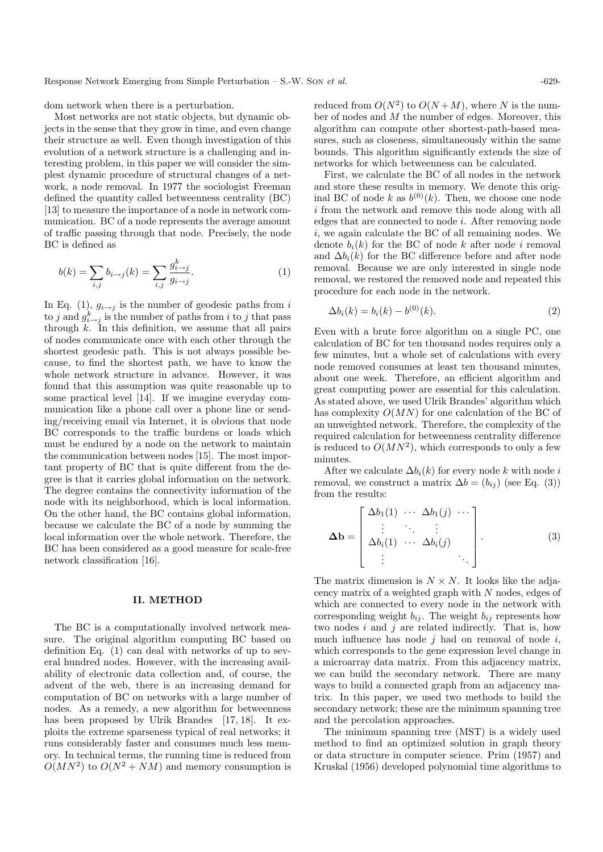dom network when there is a perturbation.

Most networks are not static objects, but dynamic objects in the sense that they grow in time, and even change their structure as well. Even though investigation of this evolution of a network structure is a challenging and interesting problem, in this paper we will consider the simplest dynamic procedure of structural changes of a network, a node removal. In 1977 the sociologist Freeman defined the quantity called betweenness centrality (BC) [13] to measure the importance of a node in network communication. BC of a node represents the average amount of traffic passing through that node. Precisely, the node BC is defined as

$$
b(k) = \sum_{i,j} b_{i \to j}(k) = \sum_{i,j} \frac{g_{i \to j}^k}{g_{i \to j}}.
$$
 (1)

In Eq. (1),  $g_{i\rightarrow j}$  is the number of geodesic paths from i to j and  $g_{i\rightarrow j}^k$  is the number of paths from i to j that pass through  $k$ . In this definition, we assume that all pairs of nodes communicate once with each other through the shortest geodesic path. This is not always possible because, to find the shortest path, we have to know the whole network structure in advance. However, it was found that this assumption was quite reasonable up to some practical level [14]. If we imagine everyday communication like a phone call over a phone line or sending/receiving email via Internet, it is obvious that node BC corresponds to the traffic burdens or loads which must be endured by a node on the network to maintain the communication between nodes [15]. The most important property of BC that is quite different from the degree is that it carries global information on the network. The degree contains the connectivity information of the node with its neighborhood, which is local information. On the other hand, the BC contains global information, because we calculate the BC of a node by summing the local information over the whole network. Therefore, the BC has been considered as a good measure for scale-free network classification [16].

## II. METHOD

The BC is a computationally involved network measure. The original algorithm computing BC based on definition Eq. (1) can deal with networks of up to several hundred nodes. However, with the increasing availability of electronic data collection and, of course, the advent of the web, there is an increasing demand for computation of BC on networks with a large number of nodes. As a remedy, a new algorithm for betweenness has been proposed by Ulrik Brandes [17, 18]. It exploits the extreme sparseness typical of real networks; it runs considerably faster and consumes much less memory. In technical terms, the running time is reduced from  $O(MN^2)$  to  $O(N^2 + NM)$  and memory consumption is

reduced from  $O(N^2)$  to  $O(N+M)$ , where N is the number of nodes and M the number of edges. Moreover, this algorithm can compute other shortest-path-based measures, such as closeness, simultaneously within the same bounds. This algorithm significantly extends the size of networks for which betweenness can be calculated.

First, we calculate the BC of all nodes in the network and store these results in memory. We denote this original BC of node k as  $b^{(0)}(k)$ . Then, we choose one node i from the network and remove this node along with all edges that are connected to node i. After removing node i, we again calculate the BC of all remaining nodes. We denote  $b_i(k)$  for the BC of node k after node i removal and  $\Delta b_i(k)$  for the BC difference before and after node removal. Because we are only interested in single node removal, we restored the removed node and repeated this procedure for each node in the network.

$$
\Delta b_i(k) = b_i(k) - b^{(0)}(k). \tag{2}
$$

Even with a brute force algorithm on a single PC, one calculation of BC for ten thousand nodes requires only a few minutes, but a whole set of calculations with every node removed consumes at least ten thousand minutes, about one week. Therefore, an efficient algorithm and great computing power are essential for this calculation. As stated above, we used Ulrik Brandes' algorithm which has complexity  $O(MN)$  for one calculation of the BC of an unweighted network. Therefore, the complexity of the required calculation for betweenness centrality difference is reduced to  $O(MN^2)$ , which corresponds to only a few minutes.

After we calculate  $\Delta b_i(k)$  for every node k with node i removal, we construct a matrix  $\Delta b = (b_{ij})$  (see Eq. (3)) from the results:

$$
\Delta \mathbf{b} = \begin{bmatrix} \Delta b_1(1) & \cdots & \Delta b_1(j) & \cdots \\ \vdots & \ddots & \vdots & \vdots \\ \Delta b_i(1) & \cdots & \Delta b_i(j) & \vdots \end{bmatrix} .
$$
 (3)

The matrix dimension is  $N \times N$ . It looks like the adjacency matrix of a weighted graph with N nodes, edges of which are connected to every node in the network with corresponding weight  $b_{ij}$ . The weight  $b_{ij}$  represents how two nodes i and i are related indirectly. That is, how much influence has node  $i$  had on removal of node  $i$ , which corresponds to the gene expression level change in a microarray data matrix. From this adjacency matrix, we can build the secondary network. There are many ways to build a connected graph from an adjacency matrix. In this paper, we used two methods to build the secondary network; these are the minimum spanning tree and the percolation approaches.

The minimum spanning tree (MST) is a widely used method to find an optimized solution in graph theory or data structure in computer science. Prim (1957) and Kruskal (1956) developed polynomial time algorithms to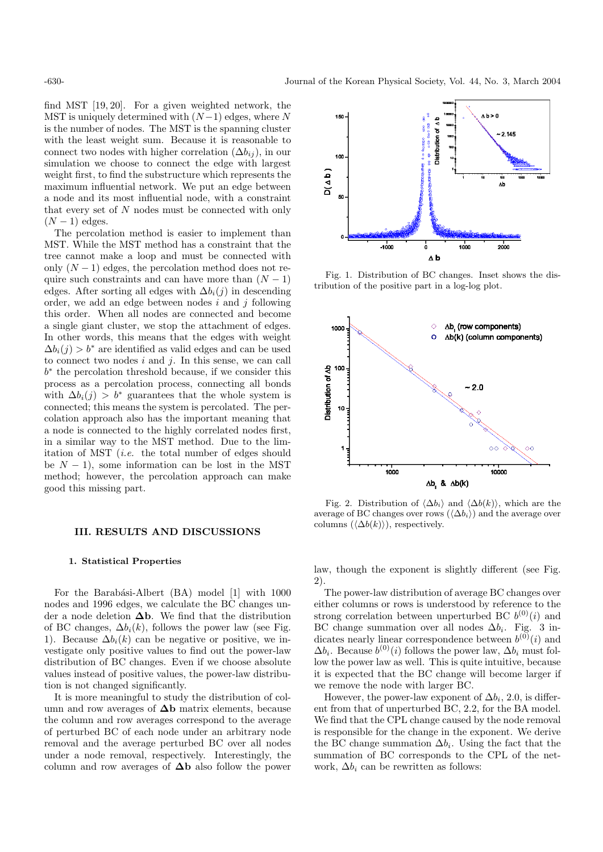find MST [19, 20]. For a given weighted network, the MST is uniquely determined with  $(N-1)$  edges, where N is the number of nodes. The MST is the spanning cluster with the least weight sum. Because it is reasonable to connect two nodes with higher correlation  $(\Delta b_{ij})$ , in our simulation we choose to connect the edge with largest weight first, to find the substructure which represents the maximum influential network. We put an edge between a node and its most influential node, with a constraint that every set of N nodes must be connected with only  $(N-1)$  edges.

The percolation method is easier to implement than MST. While the MST method has a constraint that the tree cannot make a loop and must be connected with only  $(N-1)$  edges, the percolation method does not require such constraints and can have more than  $(N - 1)$ edges. After sorting all edges with  $\Delta b_i(j)$  in descending order, we add an edge between nodes  $i$  and  $j$  following this order. When all nodes are connected and become a single giant cluster, we stop the attachment of edges. In other words, this means that the edges with weight  $\Delta b_i(i) > b^*$  are identified as valid edges and can be used to connect two nodes  $i$  and  $j$ . In this sense, we can call b ∗ the percolation threshold because, if we consider this process as a percolation process, connecting all bonds with  $\Delta b_i(i) > b^*$  guarantees that the whole system is connected; this means the system is percolated. The percolation approach also has the important meaning that a node is connected to the highly correlated nodes first, in a similar way to the MST method. Due to the limitation of MST (i.e. the total number of edges should be  $N - 1$ ), some information can be lost in the MST method; however, the percolation approach can make good this missing part.

## III. RESULTS AND DISCUSSIONS

#### 1. Statistical Properties

For the Barabási-Albert (BA) model [1] with 1000 nodes and 1996 edges, we calculate the BC changes under a node deletion  $\Delta b$ . We find that the distribution of BC changes,  $\Delta b_i(k)$ , follows the power law (see Fig. 1). Because  $\Delta b_i(k)$  can be negative or positive, we investigate only positive values to find out the power-law distribution of BC changes. Even if we choose absolute values instead of positive values, the power-law distribution is not changed significantly.

It is more meaningful to study the distribution of column and row averages of  $\Delta b$  matrix elements, because the column and row averages correspond to the average of perturbed BC of each node under an arbitrary node removal and the average perturbed BC over all nodes under a node removal, respectively. Interestingly, the column and row averages of  $\Delta b$  also follow the power



Fig. 1. Distribution of BC changes. Inset shows the distribution of the positive part in a log-log plot.



Fig. 2. Distribution of  $\langle \Delta b_i \rangle$  and  $\langle \Delta b(k) \rangle$ , which are the average of BC changes over rows  $(\langle \Delta b_i \rangle)$  and the average over columns  $(\langle \Delta b(k)\rangle)$ , respectively.

law, though the exponent is slightly different (see Fig. 2).

The power-law distribution of average BC changes over either columns or rows is understood by reference to the strong correlation between unperturbed BC  $b^{(0)}(i)$  and BC change summation over all nodes  $\Delta b_i$ . Fig. 3 indicates nearly linear correspondence between  $b^{(0)}(i)$  and  $\Delta b_i$ . Because  $b^{(0)}(i)$  follows the power law,  $\Delta b_i$  must follow the power law as well. This is quite intuitive, because it is expected that the BC change will become larger if we remove the node with larger BC.

However, the power-law exponent of  $\Delta b_i$ , 2.0, is different from that of unperturbed BC, 2.2, for the BA model. We find that the CPL change caused by the node removal is responsible for the change in the exponent. We derive the BC change summation  $\Delta b_i$ . Using the fact that the summation of BC corresponds to the CPL of the network,  $\Delta b_i$  can be rewritten as follows: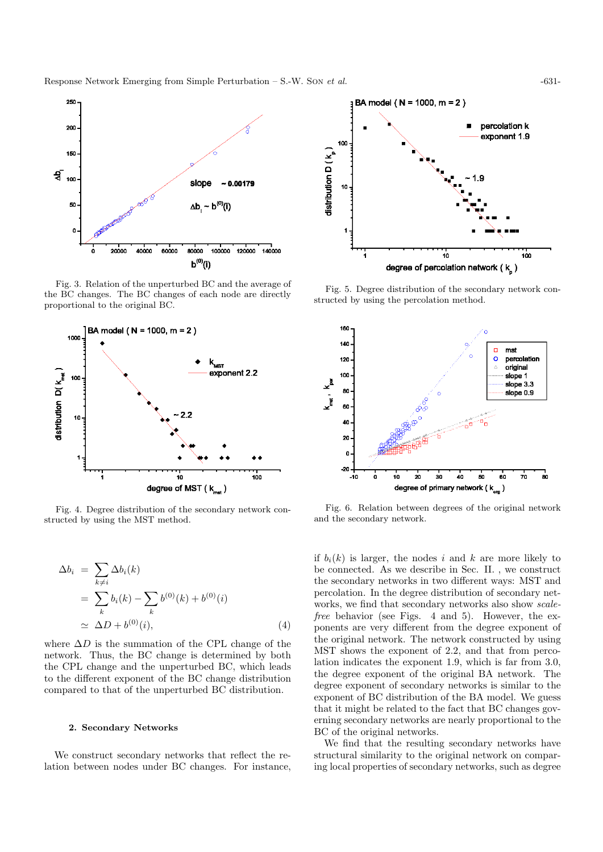Response Network Emerging from Simple Perturbation – S.-W. Son et al.  $-631$ 



Fig. 3. Relation of the unperturbed BC and the average of the BC changes. The BC changes of each node are directly proportional to the original BC.



Fig. 4. Degree distribution of the secondary network constructed by using the MST method.

$$
\Delta b_i = \sum_{k \neq i} \Delta b_i(k)
$$
  
= 
$$
\sum_k b_i(k) - \sum_k b^{(0)}(k) + b^{(0)}(i)
$$
  

$$
\simeq \Delta D + b^{(0)}(i), \qquad (4)
$$

where  $\Delta D$  is the summation of the CPL change of the network. Thus, the BC change is determined by both the CPL change and the unperturbed BC, which leads to the different exponent of the BC change distribution compared to that of the unperturbed BC distribution.

## 2. Secondary Networks

We construct secondary networks that reflect the relation between nodes under BC changes. For instance,



Fig. 5. Degree distribution of the secondary network constructed by using the percolation method.



Fig. 6. Relation between degrees of the original network and the secondary network.

if  $b_i(k)$  is larger, the nodes i and k are more likely to be connected. As we describe in Sec. II. , we construct the secondary networks in two different ways: MST and percolation. In the degree distribution of secondary networks, we find that secondary networks also show scalefree behavior (see Figs. 4 and 5). However, the exponents are very different from the degree exponent of the original network. The network constructed by using MST shows the exponent of 2.2, and that from percolation indicates the exponent 1.9, which is far from 3.0, the degree exponent of the original BA network. The degree exponent of secondary networks is similar to the exponent of BC distribution of the BA model. We guess that it might be related to the fact that BC changes governing secondary networks are nearly proportional to the BC of the original networks.

We find that the resulting secondary networks have structural similarity to the original network on comparing local properties of secondary networks, such as degree